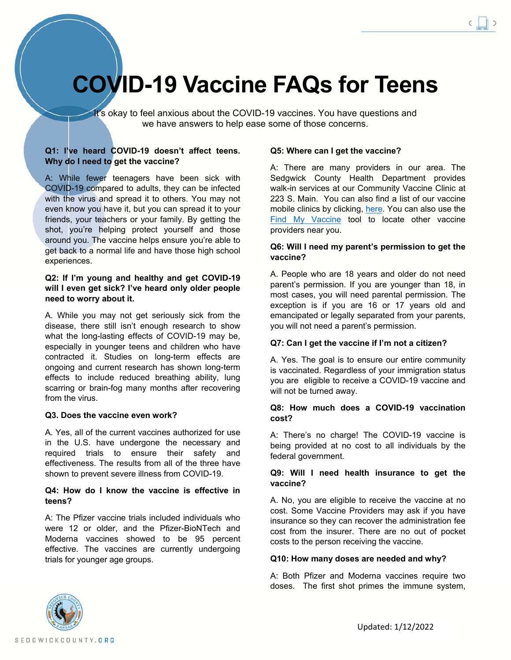# **COVID-19 Vaccine FAQs for Teens**

It's okay to feel anxious about the COVID-19 vaccines. You have questions and we have answers to help ease some of those concerns.

# **Q1: I've heard COVID-19 doesn't affect teens. Why do I need to get the vaccine?**

A: While fewer teenagers have been sick with COVID-19 compared to adults, they can be infected with the virus and spread it to others. You may not even know you have it, but you can spread it to your friends, your teachers or your family. By getting the shot, you're helping protect yourself and those around you. The vaccine helps ensure you're able to get back to a normal life and have those high school experiences.

# **Q2: If I'm young and healthy and get COVID-19 will I even get sick? I've heard only older people need to worry about it.**

A. While you may not get seriously sick from the disease, there still isn't enough research to show what the long-lasting effects of COVID-19 may be, especially in younger teens and children who have contracted it. Studies on long-term effects are ongoing and current research has shown long-term effects to include reduced breathing ability, lung scarring or brain-fog many months after recovering from the virus.

## **Q3. Does the vaccine even work?**

A. Yes, all of the current vaccines authorized for use in the U.S. have undergone the necessary and required trials to ensure their safety and effectiveness. The results from all of the three have shown to prevent severe illness from COVID-19.

## **Q4: How do I know the vaccine is effective in teens?**

A: The Pfizer vaccine trials included individuals who were 12 or older, and the Pfizer-BioNTech and Moderna vaccines showed to be 95 percent effective. The vaccines are currently undergoing trials for younger age groups.

# **Q5: Where can I get the vaccine?**

A: There are many providers in our area. The Sedgwick County Health Department provides walk-in services at our Community Vaccine Clinic at 223 S. Main. You can also find a list of our vaccine mobile clinics by clicking, here. You can also use the Find My Vaccine tool to locate other vaccine providers near you.

# **Q6: Will I need my parent's permission to get the vaccine?**

A. People who are 18 years and older do not need parent's permission. If you are younger than 18, in most cases, you will need parental permission. The exception is if you are 16 or 17 years old and emancipated or legally separated from your parents, you will not need a parent's permission.

# **Q7: Can I get the vaccine if I'm not a citizen?**

A. Yes. The goal is to ensure our entire community is vaccinated. Regardless of your immigration status you are eligible to receive a COVID-19 vaccine and will not be turned away.

# **Q8: How much does a COVID-19 vaccination cost?**

A: There's no charge! The COVID-19 vaccine is being provided at no cost to all individuals by the federal government.

# **Q9: Will I need health insurance to get the vaccine?**

A. No, you are eligible to receive the vaccine at no cost. Some Vaccine Providers may ask if you have insurance so they can recover the administration fee cost from the insurer. There are no out of pocket costs to the person receiving the vaccine.

## **Q10: How many doses are needed and why?**

A: Both Pfizer and Moderna vaccines require two doses. The first shot primes the immune system,